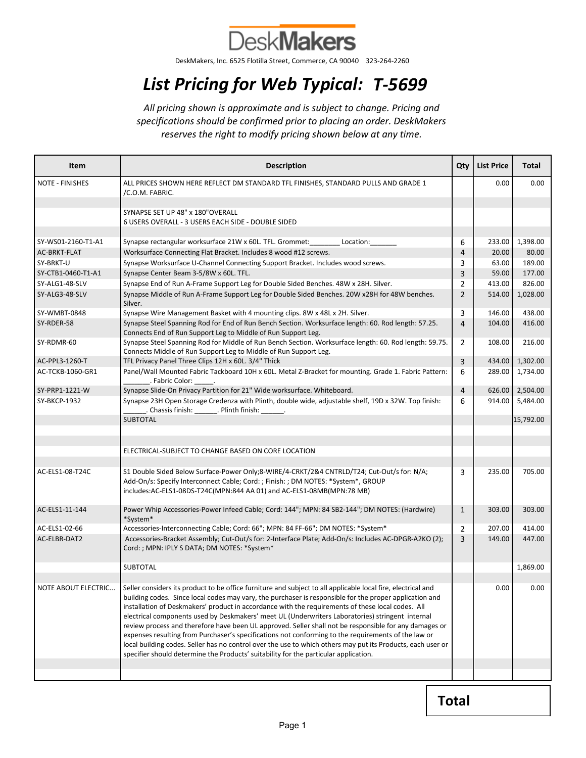

DeskMakers, Inc. 6525 Flotilla Street, Commerce, CA 90040 323-264-2260

## List Pricing for Web Typical: T-5699

All pricing shown is approximate and is subject to change. Pricing and specifications should be confirmed prior to placing an order. DeskMakers reserves the right to modify pricing shown below at any time.

| Item                | <b>Description</b>                                                                                                                                                                                                                                                                                                                                                                                                                                                                                                                                                                                                                                                                                                                       | Qty            | <b>List Price</b> | Total     |
|---------------------|------------------------------------------------------------------------------------------------------------------------------------------------------------------------------------------------------------------------------------------------------------------------------------------------------------------------------------------------------------------------------------------------------------------------------------------------------------------------------------------------------------------------------------------------------------------------------------------------------------------------------------------------------------------------------------------------------------------------------------------|----------------|-------------------|-----------|
| NOTE - FINISHES     | ALL PRICES SHOWN HERE REFLECT DM STANDARD TFL FINISHES, STANDARD PULLS AND GRADE 1<br>/C.O.M. FABRIC.                                                                                                                                                                                                                                                                                                                                                                                                                                                                                                                                                                                                                                    |                | 0.00              | 0.00      |
|                     | SYNAPSE SET UP 48" x 180"OVERALL<br>6 USERS OVERALL - 3 USERS EACH SIDE - DOUBLE SIDED                                                                                                                                                                                                                                                                                                                                                                                                                                                                                                                                                                                                                                                   |                |                   |           |
| SY-WS01-2160-T1-A1  | Synapse rectangular worksurface 21W x 60L. TFL. Grommet: Location:                                                                                                                                                                                                                                                                                                                                                                                                                                                                                                                                                                                                                                                                       | 6              | 233.00            | 1,398.00  |
| AC-BRKT-FLAT        | Worksurface Connecting Flat Bracket. Includes 8 wood #12 screws.                                                                                                                                                                                                                                                                                                                                                                                                                                                                                                                                                                                                                                                                         | 4              | 20.00             | 80.00     |
| SY-BRKT-U           | Synapse Worksurface U-Channel Connecting Support Bracket. Includes wood screws.                                                                                                                                                                                                                                                                                                                                                                                                                                                                                                                                                                                                                                                          | 3              | 63.00             | 189.00    |
| SY-CTB1-0460-T1-A1  | Synapse Center Beam 3-5/8W x 60L. TFL.                                                                                                                                                                                                                                                                                                                                                                                                                                                                                                                                                                                                                                                                                                   | 3              | 59.00             | 177.00    |
| SY-ALG1-48-SLV      | Synapse End of Run A-Frame Support Leg for Double Sided Benches. 48W x 28H. Silver.                                                                                                                                                                                                                                                                                                                                                                                                                                                                                                                                                                                                                                                      | $\overline{2}$ | 413.00            | 826.00    |
| SY-ALG3-48-SLV      | Synapse Middle of Run A-Frame Support Leg for Double Sided Benches. 20W x28H for 48W benches.<br>Silver.                                                                                                                                                                                                                                                                                                                                                                                                                                                                                                                                                                                                                                 | $\overline{2}$ | 514.00            | 1,028.00  |
| SY-WMBT-0848        | Synapse Wire Management Basket with 4 mounting clips. 8W x 48L x 2H. Silver.                                                                                                                                                                                                                                                                                                                                                                                                                                                                                                                                                                                                                                                             | 3              | 146.00            | 438.00    |
| SY-RDER-58          | Synapse Steel Spanning Rod for End of Run Bench Section. Worksurface length: 60. Rod length: 57.25.<br>Connects End of Run Support Leg to Middle of Run Support Leg.                                                                                                                                                                                                                                                                                                                                                                                                                                                                                                                                                                     | 4              | 104.00            | 416.00    |
| SY-RDMR-60          | Synapse Steel Spanning Rod for Middle of Run Bench Section. Worksurface length: 60. Rod length: 59.75.<br>Connects Middle of Run Support Leg to Middle of Run Support Leg.                                                                                                                                                                                                                                                                                                                                                                                                                                                                                                                                                               | $\overline{2}$ | 108.00            | 216.00    |
| AC-PPL3-1260-T      | TFL Privacy Panel Three Clips 12H x 60L. 3/4" Thick                                                                                                                                                                                                                                                                                                                                                                                                                                                                                                                                                                                                                                                                                      | 3              | 434.00            | 1,302.00  |
| AC-TCKB-1060-GR1    | Panel/Wall Mounted Fabric Tackboard 10H x 60L. Metal Z-Bracket for mounting. Grade 1. Fabric Pattern:<br>. Fabric Color:                                                                                                                                                                                                                                                                                                                                                                                                                                                                                                                                                                                                                 | 6              | 289.00            | 1,734.00  |
| SY-PRP1-1221-W      | Synapse Slide-On Privacy Partition for 21" Wide worksurface. Whiteboard.                                                                                                                                                                                                                                                                                                                                                                                                                                                                                                                                                                                                                                                                 | 4              | 626.00            | 2,504.00  |
| SY-BKCP-1932        | Synapse 23H Open Storage Credenza with Plinth, double wide, adjustable shelf, 19D x 32W. Top finish:<br>. Chassis finish: ________. Plinth finish: _______.                                                                                                                                                                                                                                                                                                                                                                                                                                                                                                                                                                              | 6              | 914.00            | 5,484.00  |
|                     | <b>SUBTOTAL</b>                                                                                                                                                                                                                                                                                                                                                                                                                                                                                                                                                                                                                                                                                                                          |                |                   | 15,792.00 |
|                     |                                                                                                                                                                                                                                                                                                                                                                                                                                                                                                                                                                                                                                                                                                                                          |                |                   |           |
|                     |                                                                                                                                                                                                                                                                                                                                                                                                                                                                                                                                                                                                                                                                                                                                          |                |                   |           |
|                     | ELECTRICAL-SUBJECT TO CHANGE BASED ON CORE LOCATION                                                                                                                                                                                                                                                                                                                                                                                                                                                                                                                                                                                                                                                                                      |                |                   |           |
| AC-ELS1-08-T24C     | S1 Double Sided Below Surface-Power Only;8-WIRE/4-CRKT/2&4 CNTRLD/T24; Cut-Out/s for: N/A;<br>Add-On/s: Specify Interconnect Cable; Cord: ; Finish: ; DM NOTES: *System*, GROUP<br>includes:AC-ELS1-08DS-T24C(MPN:844 AA 01) and AC-ELS1-08MB(MPN:78 MB)                                                                                                                                                                                                                                                                                                                                                                                                                                                                                 | 3              | 235.00            | 705.00    |
| AC-ELS1-11-144      | Power Whip Accessories-Power Infeed Cable; Cord: 144"; MPN: 84 SB2-144"; DM NOTES: (Hardwire)<br>*System*                                                                                                                                                                                                                                                                                                                                                                                                                                                                                                                                                                                                                                | $\mathbf{1}$   | 303.00            | 303.00    |
| AC-ELS1-02-66       | Accessories-Interconnecting Cable; Cord: 66"; MPN: 84 FF-66"; DM NOTES: *System*                                                                                                                                                                                                                                                                                                                                                                                                                                                                                                                                                                                                                                                         | $\overline{2}$ | 207.00            | 414.00    |
| AC-ELBR-DAT2        | Accessories-Bracket Assembly; Cut-Out/s for: 2-Interface Plate; Add-On/s: Includes AC-DPGR-A2KO (2);<br>Cord: ; MPN: IPLY S DATA; DM NOTES: *System*                                                                                                                                                                                                                                                                                                                                                                                                                                                                                                                                                                                     | 3              | 149.00            | 447.00    |
|                     | <b>SUBTOTAL</b>                                                                                                                                                                                                                                                                                                                                                                                                                                                                                                                                                                                                                                                                                                                          |                |                   | 1,869.00  |
| NOTE ABOUT ELECTRIC | Seller considers its product to be office furniture and subject to all applicable local fire, electrical and                                                                                                                                                                                                                                                                                                                                                                                                                                                                                                                                                                                                                             |                | 0.00              | 0.00      |
|                     | building codes. Since local codes may vary, the purchaser is responsible for the proper application and<br>installation of Deskmakers' product in accordance with the requirements of these local codes. All<br>electrical components used by Deskmakers' meet UL (Underwriters Laboratories) stringent internal<br>review process and therefore have been UL approved. Seller shall not be responsible for any damages or<br>expenses resulting from Purchaser's specifications not conforming to the requirements of the law or<br>local building codes. Seller has no control over the use to which others may put its Products, each user or<br>specifier should determine the Products' suitability for the particular application. |                |                   |           |
|                     |                                                                                                                                                                                                                                                                                                                                                                                                                                                                                                                                                                                                                                                                                                                                          |                |                   |           |

Total